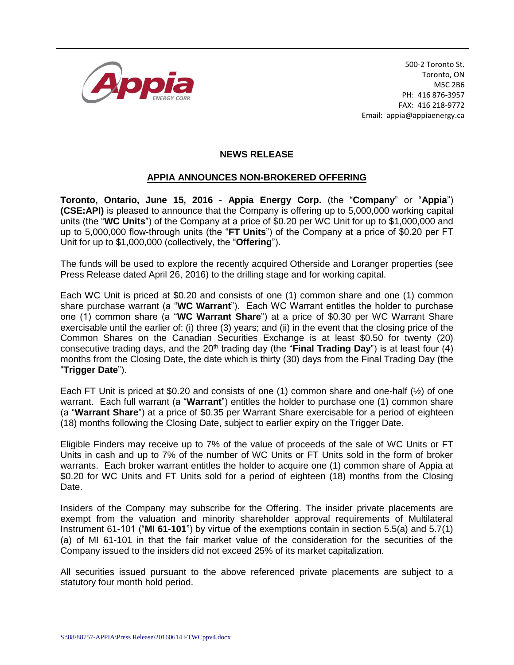

500-2 Toronto St. Toronto, ON M5C 2B6 PH: 416 876-3957 FAX: 416 218-9772 Email: appia@appiaenergy.ca

## **NEWS RELEASE**

## **APPIA ANNOUNCES NON-BROKERED OFFERING**

**Toronto, Ontario, June 15, 2016 - Appia Energy Corp.** (the "**Company**" or "**Appia**") **(CSE:API)** is pleased to announce that the Company is offering up to 5,000,000 working capital units (the "**WC Units**") of the Company at a price of \$0.20 per WC Unit for up to \$1,000,000 and up to 5,000,000 flow-through units (the "**FT Units**") of the Company at a price of \$0.20 per FT Unit for up to \$1,000,000 (collectively, the "**Offering**").

The funds will be used to explore the recently acquired Otherside and Loranger properties (see Press Release dated April 26, 2016) to the drilling stage and for working capital.

Each WC Unit is priced at \$0.20 and consists of one (1) common share and one (1) common share purchase warrant (a "**WC Warrant**"). Each WC Warrant entitles the holder to purchase one (1) common share (a "**WC Warrant Share**") at a price of \$0.30 per WC Warrant Share exercisable until the earlier of: (i) three (3) years; and (ii) in the event that the closing price of the Common Shares on the Canadian Securities Exchange is at least \$0.50 for twenty (20) consecutive trading days, and the 20<sup>th</sup> trading day (the "**Final Trading Day**") is at least four (4) months from the Closing Date, the date which is thirty (30) days from the Final Trading Day (the "**Trigger Date**").

Each FT Unit is priced at \$0.20 and consists of one (1) common share and one-half (½) of one warrant. Each full warrant (a "**Warrant**") entitles the holder to purchase one (1) common share (a "**Warrant Share**") at a price of \$0.35 per Warrant Share exercisable for a period of eighteen (18) months following the Closing Date, subject to earlier expiry on the Trigger Date.

Eligible Finders may receive up to 7% of the value of proceeds of the sale of WC Units or FT Units in cash and up to 7% of the number of WC Units or FT Units sold in the form of broker warrants. Each broker warrant entitles the holder to acquire one (1) common share of Appia at \$0.20 for WC Units and FT Units sold for a period of eighteen (18) months from the Closing Date.

Insiders of the Company may subscribe for the Offering. The insider private placements are exempt from the valuation and minority shareholder approval requirements of Multilateral Instrument 61-101 ("**MI 61-101**") by virtue of the exemptions contain in section 5.5(a) and 5.7(1) (a) of MI 61-101 in that the fair market value of the consideration for the securities of the Company issued to the insiders did not exceed 25% of its market capitalization.

All securities issued pursuant to the above referenced private placements are subject to a statutory four month hold period.